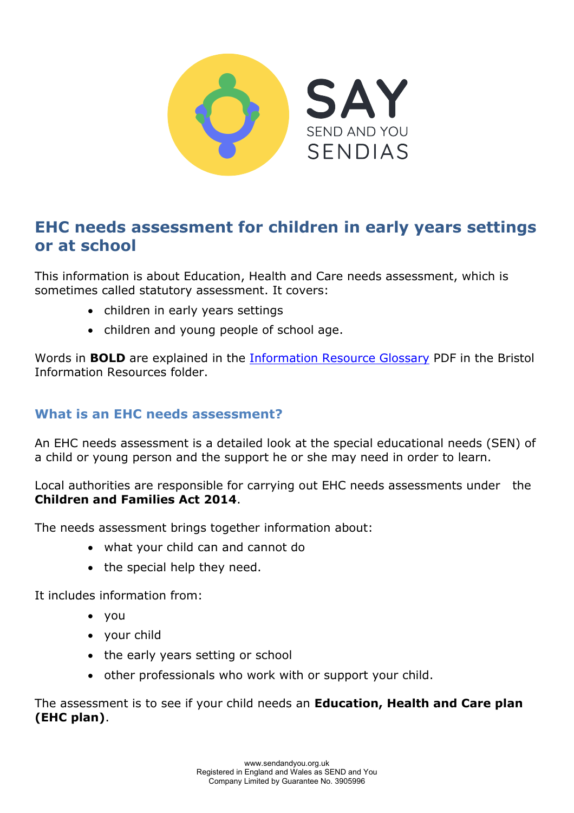

# **EHC needs assessment for children in early years settings or at school**

This information is about Education, Health and Care needs assessment, which is sometimes called statutory assessment. It covers:

- children in early years settings
- children and young people of school age.

Words in **BOLD** are explained in the [Information Resource Glossary](https://www.sendandyou.org.uk/wp-content/uploads/2021/08/Information-Resource-Glossary-REVISED2-new.pdf) PDF in the Bristol Information Resources folder.

# **What is an EHC needs assessment?**

An EHC needs assessment is a detailed look at the special educational needs (SEN) of a child or young person and the support he or she may need in order to learn.

Local authorities are responsible for carrying out EHC needs assessments under the **Children and Families Act 2014**.

The needs assessment brings together information about:

- what your child can and cannot do
- the special help they need.

It includes information from:

- you
- your child
- the early years setting or school
- other professionals who work with or support your child.

The assessment is to see if your child needs an **Education, Health and Care plan (EHC plan)**.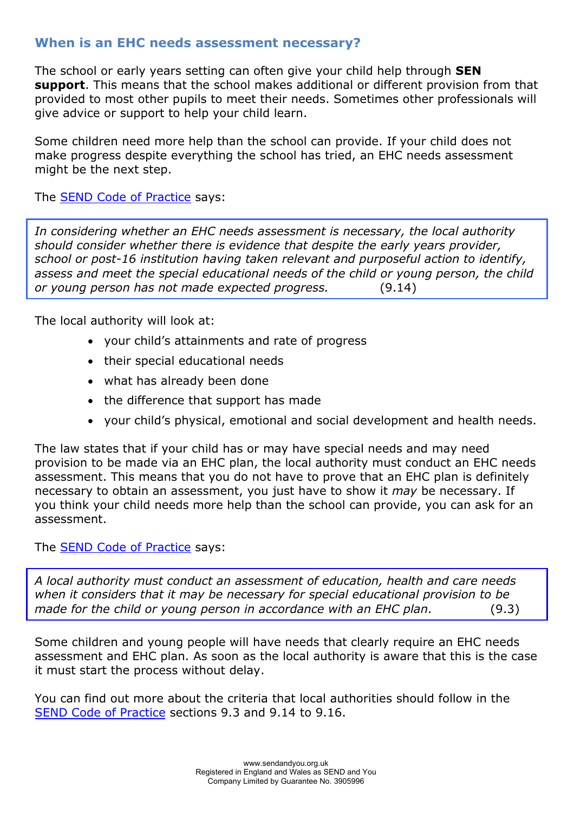# **When is an EHC needs assessment necessary?**

The school or early years setting can often give your child help through **SEN support**. This means that the school makes additional or different provision from that provided to most other pupils to meet their needs. Sometimes other professionals will give advice or support to help your child learn.

Some children need more help than the school can provide. If your child does not make progress despite everything the school has tried, an EHC needs assessment might be the next step.

The [SEND Code of Practice](https://www.gov.uk/government/publications/send-code-of-practice-0-to-25) says:

*In considering whether an EHC needs assessment is necessary, the local authority should consider whether there is evidence that despite the early years provider, school or post-16 institution having taken relevant and purposeful action to identify, assess and meet the special educational needs of the child or young person, the child or young person has not made expected progress.* (9.14)

The local authority will look at:

- your child's attainments and rate of progress
- their special educational needs
- what has already been done
- the difference that support has made
- your child's physical, emotional and social development and health needs.

The law states that if your child has or may have special needs and may need provision to be made via an EHC plan, the local authority must conduct an EHC needs assessment. This means that you do not have to prove that an EHC plan is definitely necessary to obtain an assessment, you just have to show it *may* be necessary. If you think your child needs more help than the school can provide, you can ask for an assessment.

The [SEND Code of Practice](https://www.gov.uk/government/publications/send-code-of-practice-0-to-25) says:

*A local authority must conduct an assessment of education, health and care needs when it considers that it may be necessary for special educational provision to be made for the child or young person in accordance with an EHC plan.* (9.3)

Some children and young people will have needs that clearly require an EHC needs assessment and EHC plan. As soon as the local authority is aware that this is the case it must start the process without delay.

You can find out more about the criteria that local authorities should follow in the [SEND Code of Practice](https://www.gov.uk/government/publications/send-code-of-practice-0-to-25) sections 9.3 and 9.14 to 9.16.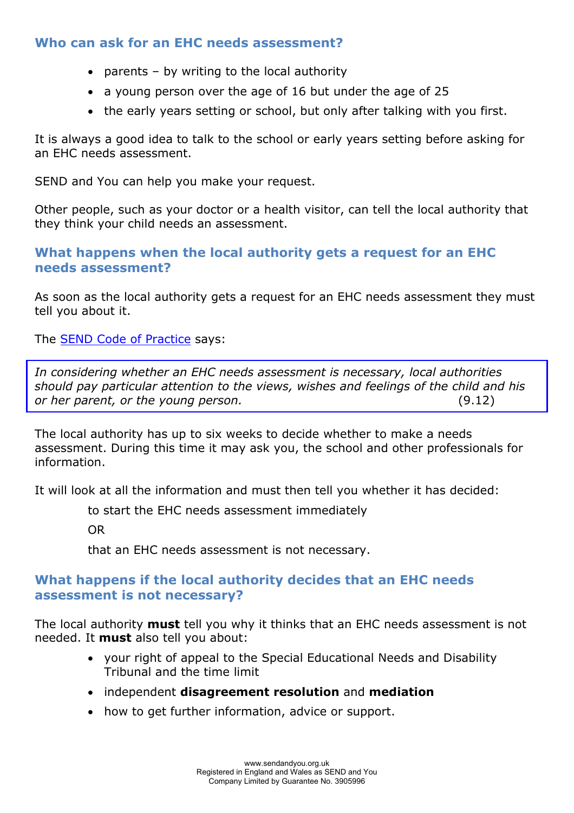### **Who can ask for an EHC needs assessment?**

- parents  $-$  by writing to the local authority
- a young person over the age of 16 but under the age of 25
- the early years setting or school, but only after talking with you first.

It is always a good idea to talk to the school or early years setting before asking for an EHC needs assessment.

SEND and You can help you make your request.

Other people, such as your doctor or a health visitor, can tell the local authority that they think your child needs an assessment.

### **What happens when the local authority gets a request for an EHC needs assessment?**

As soon as the local authority gets a request for an EHC needs assessment they must tell you about it.

The [SEND Code of Practice](https://www.gov.uk/government/publications/send-code-of-practice-0-to-25) says:

*In considering whether an EHC needs assessment is necessary, local authorities should pay particular attention to the views, wishes and feelings of the child and his or her parent, or the young person.* (9.12)

The local authority has up to six weeks to decide whether to make a needs assessment. During this time it may ask you, the school and other professionals for information.

It will look at all the information and must then tell you whether it has decided:

to start the EHC needs assessment immediately

OR

that an EHC needs assessment is not necessary.

### **What happens if the local authority decides that an EHC needs assessment is not necessary?**

The local authority **must** tell you why it thinks that an EHC needs assessment is not needed. It **must** also tell you about:

- your right of appeal to the Special Educational Needs and Disability Tribunal and the time limit
- independent **disagreement resolution** and **mediation**
- how to get further information, advice or support.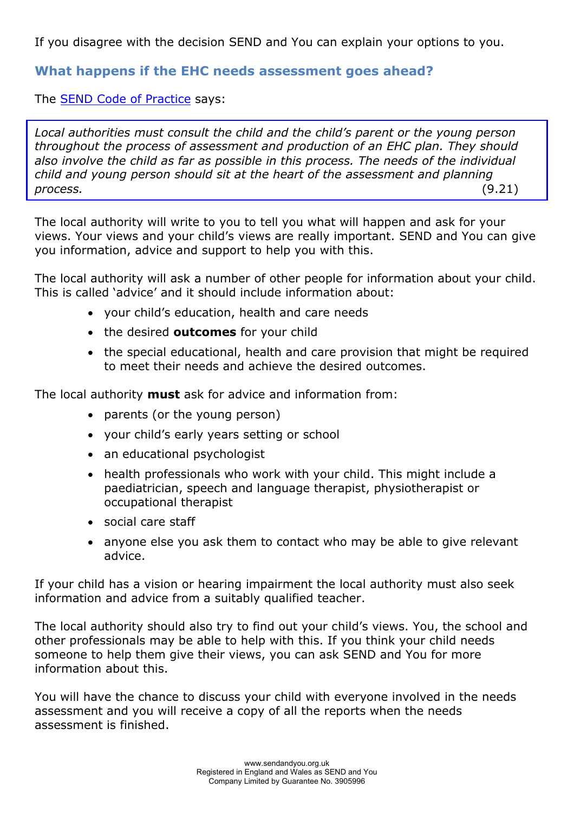If you disagree with the decision SEND and You can explain your options to you.

# **What happens if the EHC needs assessment goes ahead?**

The [SEND Code of Practice](https://www.gov.uk/government/publications/send-code-of-practice-0-to-25) says:

*Local authorities must consult the child and the child's parent or the young person throughout the process of assessment and production of an EHC plan. They should also involve the child as far as possible in this process. The needs of the individual child and young person should sit at the heart of the assessment and planning process.* (9.21)

The local authority will write to you to tell you what will happen and ask for your views. Your views and your child's views are really important. SEND and You can give you information, advice and support to help you with this.

The local authority will ask a number of other people for information about your child. This is called 'advice' and it should include information about:

- your child's education, health and care needs
- the desired **outcomes** for your child
- the special educational, health and care provision that might be required to meet their needs and achieve the desired outcomes.

The local authority **must** ask for advice and information from:

- parents (or the young person)
- your child's early years setting or school
- an educational psychologist
- health professionals who work with your child. This might include a paediatrician, speech and language therapist, physiotherapist or occupational therapist
- social care staff
- anyone else you ask them to contact who may be able to give relevant advice.

If your child has a vision or hearing impairment the local authority must also seek information and advice from a suitably qualified teacher.

The local authority should also try to find out your child's views. You, the school and other professionals may be able to help with this. If you think your child needs someone to help them give their views, you can ask SEND and You for more information about this.

You will have the chance to discuss your child with everyone involved in the needs assessment and you will receive a copy of all the reports when the needs assessment is finished.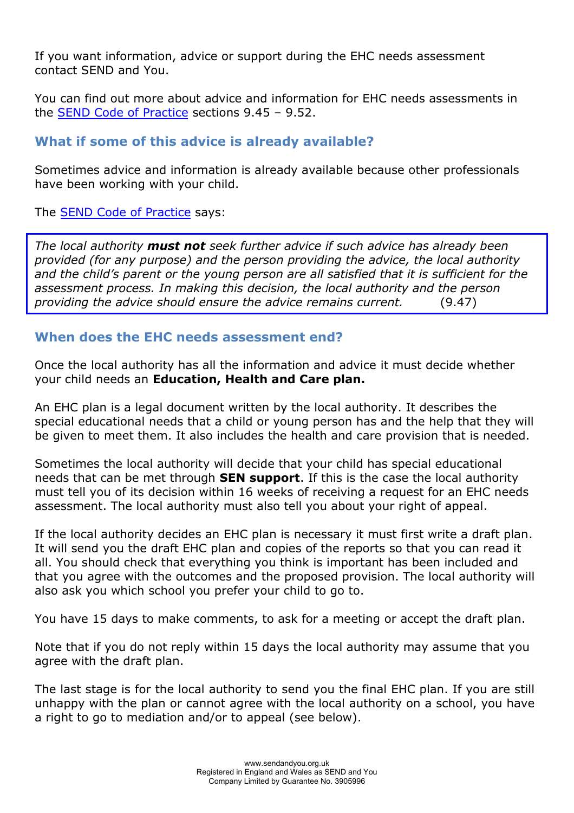If you want information, advice or support during the EHC needs assessment contact SEND and You.

You can find out more about advice and information for EHC needs assessments in the [SEND Code of Practice](https://www.gov.uk/government/publications/send-code-of-practice-0-to-25) sections 9.45 – 9.52.

# **What if some of this advice is already available?**

Sometimes advice and information is already available because other professionals have been working with your child.

The [SEND Code of Practice](https://www.gov.uk/government/publications/send-code-of-practice-0-to-25) says:

*The local authority must not seek further advice if such advice has already been provided (for any purpose) and the person providing the advice, the local authority and the child's parent or the young person are all satisfied that it is sufficient for the assessment process. In making this decision, the local authority and the person providing the advice should ensure the advice remains current.* (9.47)

# **When does the EHC needs assessment end?**

Once the local authority has all the information and advice it must decide whether your child needs an **Education, Health and Care plan.** 

An EHC plan is a legal document written by the local authority. It describes the special educational needs that a child or young person has and the help that they will be given to meet them. It also includes the health and care provision that is needed.

Sometimes the local authority will decide that your child has special educational needs that can be met through **SEN support**. If this is the case the local authority must tell you of its decision within 16 weeks of receiving a request for an EHC needs assessment. The local authority must also tell you about your right of appeal.

If the local authority decides an EHC plan is necessary it must first write a draft plan. It will send you the draft EHC plan and copies of the reports so that you can read it all. You should check that everything you think is important has been included and that you agree with the outcomes and the proposed provision. The local authority will also ask you which school you prefer your child to go to.

You have 15 days to make comments, to ask for a meeting or accept the draft plan.

Note that if you do not reply within 15 days the local authority may assume that you agree with the draft plan.

The last stage is for the local authority to send you the final EHC plan. If you are still unhappy with the plan or cannot agree with the local authority on a school, you have a right to go to mediation and/or to appeal (see below).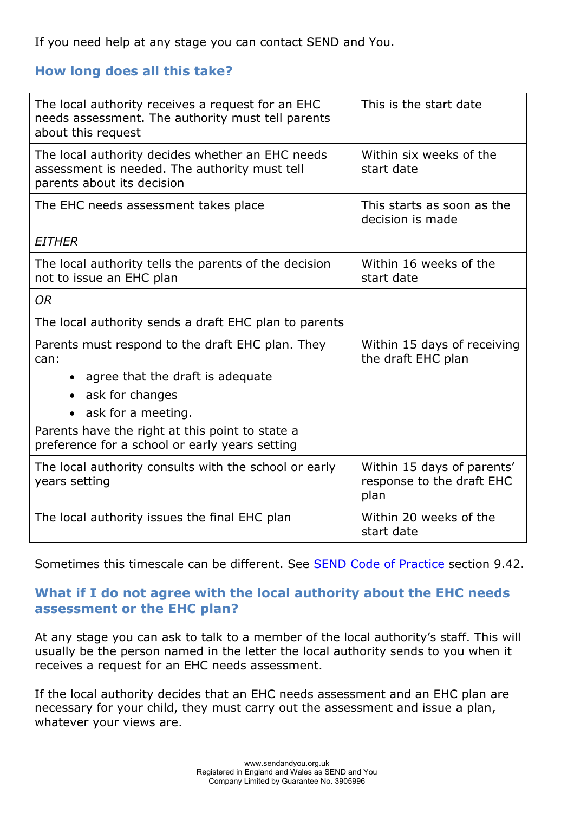If you need help at any stage you can contact SEND and You.

# **How long does all this take?**

| The local authority receives a request for an EHC<br>needs assessment. The authority must tell parents<br>about this request    | This is the start date                                          |
|---------------------------------------------------------------------------------------------------------------------------------|-----------------------------------------------------------------|
| The local authority decides whether an EHC needs<br>assessment is needed. The authority must tell<br>parents about its decision | Within six weeks of the<br>start date                           |
| The EHC needs assessment takes place                                                                                            | This starts as soon as the<br>decision is made                  |
| <b>EITHER</b>                                                                                                                   |                                                                 |
| The local authority tells the parents of the decision<br>not to issue an EHC plan                                               | Within 16 weeks of the<br>start date                            |
| <b>OR</b>                                                                                                                       |                                                                 |
| The local authority sends a draft EHC plan to parents                                                                           |                                                                 |
| Parents must respond to the draft EHC plan. They<br>can:                                                                        | Within 15 days of receiving<br>the draft EHC plan               |
| • agree that the draft is adequate                                                                                              |                                                                 |
| • ask for changes                                                                                                               |                                                                 |
| ask for a meeting.                                                                                                              |                                                                 |
| Parents have the right at this point to state a<br>preference for a school or early years setting                               |                                                                 |
| The local authority consults with the school or early<br>years setting                                                          | Within 15 days of parents'<br>response to the draft EHC<br>plan |
| The local authority issues the final EHC plan                                                                                   | Within 20 weeks of the<br>start date                            |

Sometimes this timescale can be different. See **SEND Code of Practice** section 9.42.

# **What if I do not agree with the local authority about the EHC needs assessment or the EHC plan?**

At any stage you can ask to talk to a member of the local authority's staff. This will usually be the person named in the letter the local authority sends to you when it receives a request for an EHC needs assessment.

If the local authority decides that an EHC needs assessment and an EHC plan are necessary for your child, they must carry out the assessment and issue a plan, whatever your views are.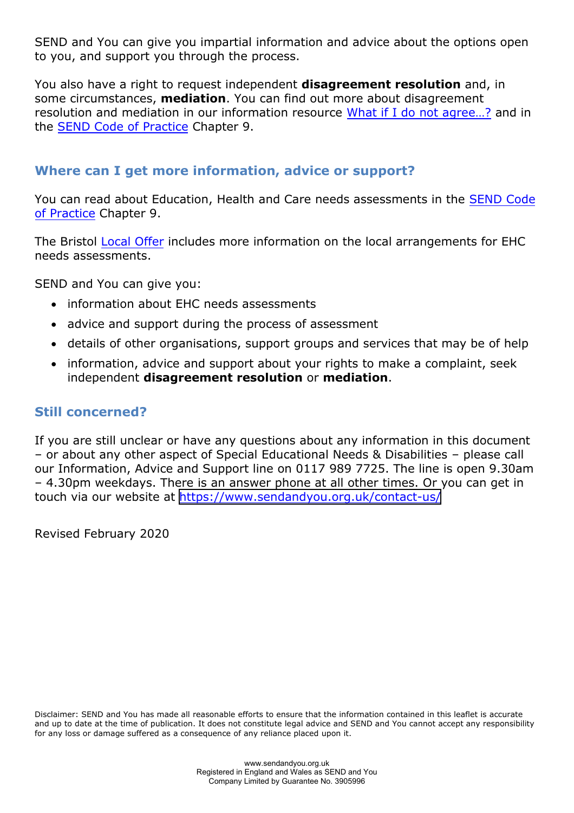SEND and You can give you impartial information and advice about the options open to you, and support you through the process.

You also have a right to request independent **disagreement resolution** and, in some circumstances, **mediation**. You can find out more about disagreement resolution and mediation in our information resource [What if I do not agree…?](https://www.sendandyou.org.uk/wp-content/uploads/2021/08/8-What-if-I-do-not-agree-Bristol-new.pdf) and in the [SEND Code of Practice](https://www.gov.uk/government/publications/send-code-of-practice-0-to-25) Chapter 9.

# **Where can I get more information, advice or support?**

You can read about Education, Health and Care needs assessments in the [SEND Code](https://www.gov.uk/government/publications/send-code-of-practice-0-to-25) [of Practice](https://www.gov.uk/government/publications/send-code-of-practice-0-to-25) Chapter 9.

The Bristol [Local Offer](https://www.bristol.gov.uk/web/bristol-local-offer) includes more information on the local arrangements for EHC needs assessments.

SEND and You can give you:

- information about EHC needs assessments
- advice and support during the process of assessment
- details of other organisations, support groups and services that may be of help
- information, advice and support about your rights to make a complaint, seek independent **disagreement resolution** or **mediation**.

#### **Still concerned?**

If you are still unclear or have any questions about any information in this document – or about any other aspect of Special Educational Needs & Disabilities – please call our Information, Advice and Support line on 0117 989 7725. The line is open 9.30am – 4.30pm weekdays. There is an answer phone at all other times. Or you can get in touch via our website at [https://www.sendandyou.org.uk/contact-us/](http://www.supportiveparents.org.uk/contact)

Revised February 2020

Disclaimer: SEND and You has made all reasonable efforts to ensure that the information contained in this leaflet is accurate and up to date at the time of publication. It does not constitute legal advice and SEND and You cannot accept any responsibility for any loss or damage suffered as a consequence of any reliance placed upon it.